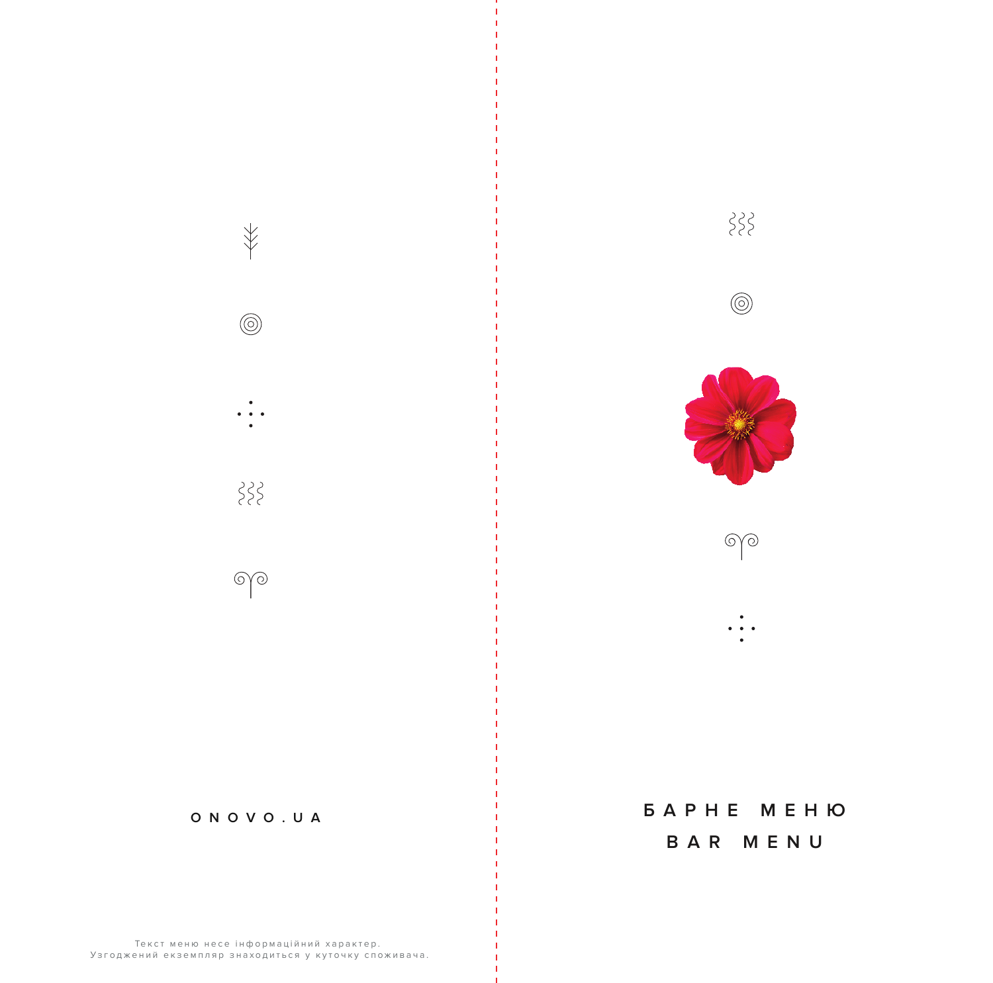

 $\overline{\ast}$ 

 $\circledcirc$ 

 $\{ \}$ 

 $\circledcirc$ 

# *BAPHE MEHIO*

 $\{ \}$ 

 $\circledcirc$ 

 $\bigcirc \bigcirc$ 

 $\bullet$   $\bullet$ 

## BAR MENU

Текст меню несе інформаційний характер. Узгоджений екземпляр знаходиться у куточку споживача.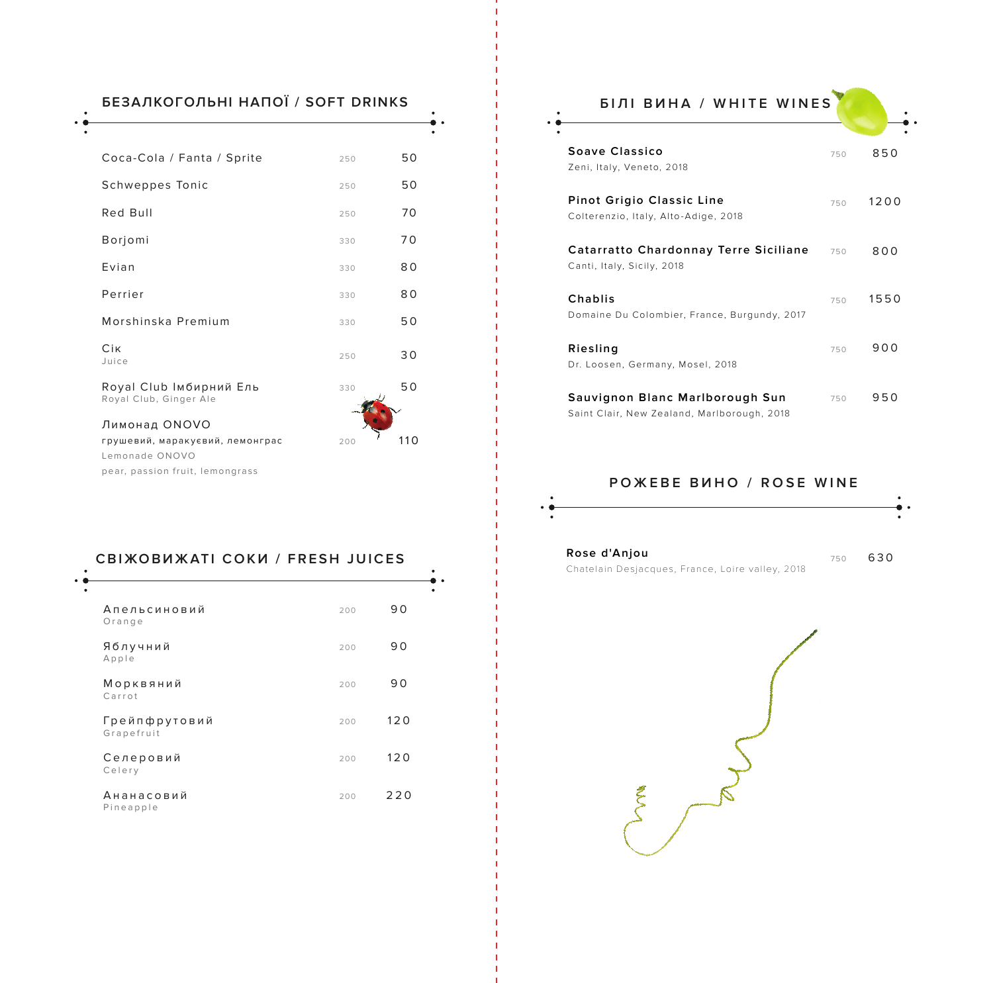| БЕЗАЛКОГОЛЬНІ НАПОЇ / SOFT DRINKS                 |     |     |
|---------------------------------------------------|-----|-----|
|                                                   |     |     |
| Coca-Cola / Fanta / Sprite                        | 250 | 50  |
| Schweppes Tonic                                   | 250 | 50  |
| Red Bull                                          | 250 | 70  |
| Borjomi                                           | 330 | 70  |
| Fvian                                             | 330 | 80  |
| Perrier                                           | 330 | 80  |
| Morshinska Premium                                | 330 | 50  |
| Cik<br>Juice                                      | 250 | 30  |
| Royal Club Імбирний Ель<br>Royal Club, Ginger Ale | 330 | 50  |
| Лимонад ONOVO                                     |     |     |
| грушевий, маракуєвий, лемонграс<br>Lemonade ONOVO | 200 | 110 |
| pear, passion fruit, lemongrass                   |     |     |

### **СВІЖОВИЖАТІ СОКИ / FRESH JUICES**

| Апельсиновий<br>Orange      | 200 | 90  |
|-----------------------------|-----|-----|
| Яблучний<br>Apple           | 200 | 90  |
| Морквяний<br>Carrot         | 200 | 90  |
| Грейпфрутовий<br>Grapefruit | 200 | 120 |
| Селеровий<br>Celery         | 200 | 120 |
| Ананасовий<br>Pineapple     | 200 | 220 |

| <b>БІЛІ ВИНА / WHITE WINES</b>                                             |     |      |
|----------------------------------------------------------------------------|-----|------|
| Soave Classico<br>Zeni, Italy, Veneto, 2018                                | 750 | 850  |
| Pinot Grigio Classic Line<br>Colterenzio, Italy, Alto-Adige, 2018          | 750 | 1200 |
| <b>Catarratto Chardonnay Terre Siciliane</b><br>Canti, Italy, Sicily, 2018 | 750 | 800  |
| Chablis<br>Domaine Du Colombier, France, Burgundy, 2017                    | 750 | 1550 |
| Riesling<br>Dr. Loosen, Germany, Mosel, 2018                               | 750 | 900  |
| Sauvignon Blanc Marlborough Sun                                            | 750 | 950  |

Saint Clair, New Zealand, Marlborough, 2018

### **РОЖЕВЕ ВИНО / ROSE WINE**



**Rose d'Anjou**  Chatelain Desjacques, France, Loire valley, 2018 <sup>750</sup> 630

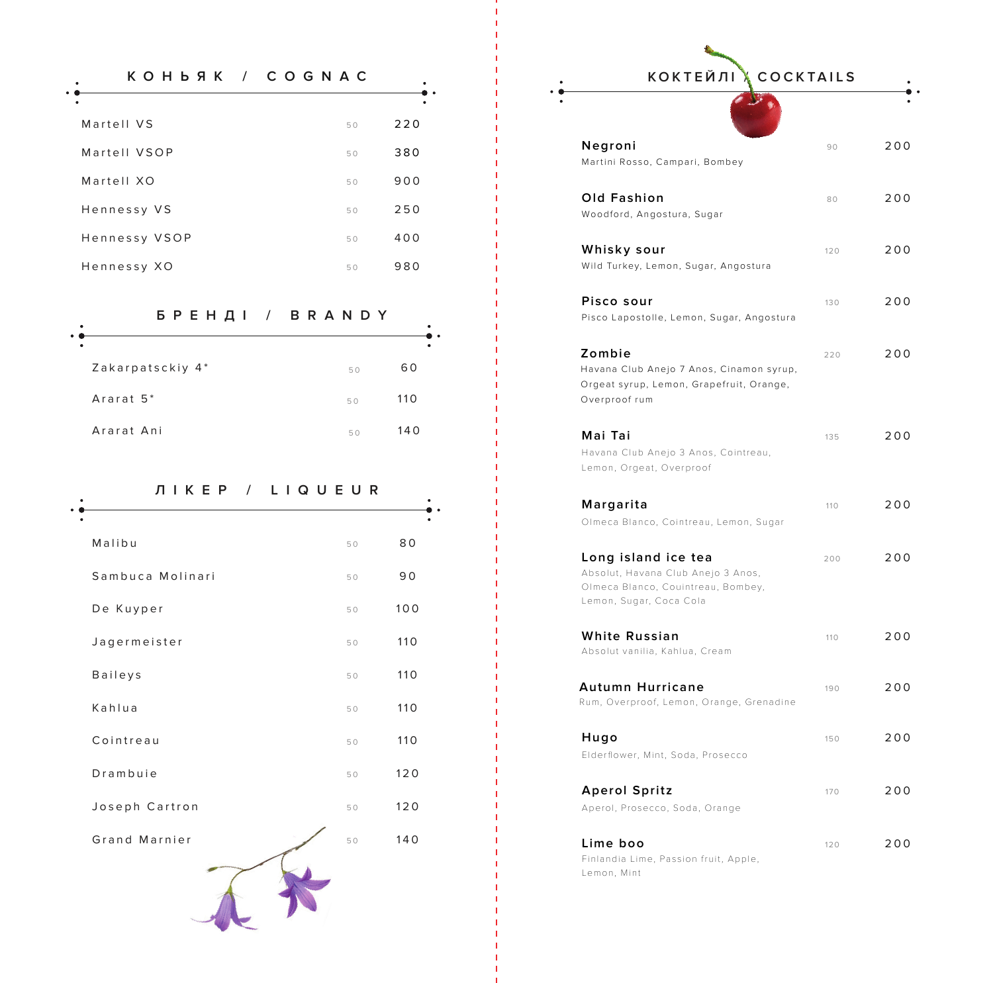| KOHBAK / COGNAC |    |     |
|-----------------|----|-----|
|                 |    |     |
| Martell VS      | 50 | 220 |
| Martell VSOP    | 50 | 380 |
| Martell XO      | 50 | 900 |
| Hennessy VS     | 50 | 250 |
| Hennessy VSOP   | 50 | 400 |
| Hennessy XO     | 50 | 980 |

### **БРЕНДІ / BRANDY**

| ٠                     |    |     |
|-----------------------|----|-----|
| Zakarpatsckiy 4*      | 50 | 60  |
| Ararat 5 <sup>*</sup> | 50 | 110 |
| Ararat Ani            | 50 | 140 |

 $\bullet$ 

| KEP<br>$\sqrt{2}$<br>Л | LIQUEUR |     |
|------------------------|---------|-----|
| Malibu                 | 50      | 80  |
| Sambuca Molinari       | 50      | 90  |
| De Kuyper              | 50      | 100 |
| Jagermeister           | 50      | 110 |
| Baileys                | 50      | 110 |
| Kahlua                 | 50      | 110 |
| Cointreau              | 50      | 110 |
| Drambuie               | 50      | 120 |
| Joseph Cartron         | 50      | 120 |
| Grand Marnier          | 50      | 140 |
|                        |         |     |

## **КОНЬЯК / COGNAC КОКТЕЙЛІ / COCKTAILS**

| Negroni                                                                                                                    | 90  | 200 |
|----------------------------------------------------------------------------------------------------------------------------|-----|-----|
| Martini Rosso, Campari, Bombey                                                                                             |     |     |
| <b>Old Fashion</b><br>Woodford, Angostura, Sugar                                                                           | 80  | 200 |
| Whisky sour<br>Wild Turkey, Lemon, Sugar, Angostura                                                                        | 120 | 200 |
| Pisco sour<br>Pisco Lapostolle, Lemon, Sugar, Angostura                                                                    | 130 | 200 |
| Zombie<br>Havana Club Anejo 7 Anos, Cinamon syrup,<br>Orgeat syrup, Lemon, Grapefruit, Orange,<br>Overproof rum            | 220 | 200 |
| Mai Tai<br>Havana Club Anejo 3 Anos, Cointreau,<br>Lemon, Orgeat, Overproof                                                | 135 | 200 |
| Margarita<br>Olmeca Blanco, Cointreau, Lemon, Sugar                                                                        | 110 | 200 |
| Long island ice tea<br>Absolut, Havana Club Anejo 3 Anos,<br>Olmeca Blanco, Couintreau, Bombey,<br>Lemon, Sugar, Coca Cola | 200 | 200 |
| <b>White Russian</b><br>Absolut vanilia, Kahlua, Cream                                                                     | 110 | 200 |
| <b>Autumn Hurricane</b><br>Rum, Overproof, Lemon, Orange, Grenadine                                                        | 190 | 200 |
| Hugo<br>Elderflower, Mint, Soda, Prosecco                                                                                  | 150 | 200 |
| <b>Aperol Spritz</b><br>Aperol, Prosecco, Soda, Orange                                                                     | 170 | 200 |
| Lime boo<br>Finlandia Lime, Passion fruit, Apple,<br>Lemon, Mint                                                           | 120 | 200 |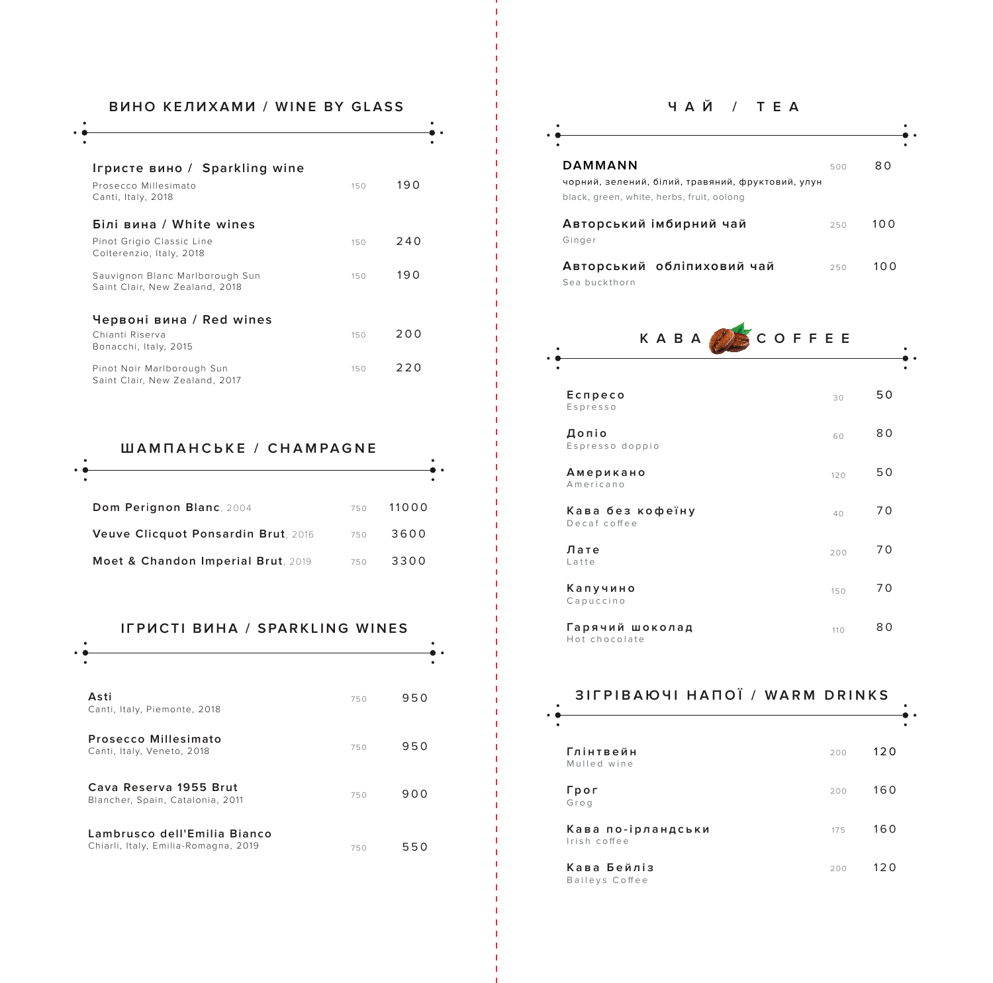### **ВИНО КЕЛИХАМИ / WINE BY GLASS**

 $\bullet$  .

| Ігристе вино / Sparkling wine<br>Prosecco Millesimato<br>Canti, Italy, 2018 | 150 | 190 |
|-----------------------------------------------------------------------------|-----|-----|
| Білі вина / White wines                                                     |     |     |
| Pinot Grigio Classic Line<br>Colterenzio, Italy, 2018                       | 150 | 240 |
| Sauvignon Blanc Marlborough Sun<br>Saint Clair, New Zealand, 2018           | 150 | 190 |
|                                                                             |     |     |
| Червоні вина / Red wines<br>Chianti Riserva<br>Bonacchi, Italy, 2015        | 150 | 200 |
| Pinot Noir Marlborough Sun<br>Saint Clair, New Zealand, 2017                | 150 | 220 |

# **ШАМПАНСЬКЕ / CHAMPAGNE**

| Dom Perignon Blanc, 2004            | 750 | 11000 |
|-------------------------------------|-----|-------|
| Veuve Clicquot Ponsardin Brut, 2016 | 750 | 3600  |
| Moet & Chandon Imperial Brut, 2019  | 750 | 3300  |

#### **ІГРИСТІ ВИНА / SPARKLING WINES**

| Asti<br>Canti, Italy, Piemonte, 2018                                 | 750 | 950 |
|----------------------------------------------------------------------|-----|-----|
| Prosecco Millesimato<br>Canti, Italy, Veneto, 2018                   | 750 | 950 |
| Cava Reserva 1955 Brut<br>Blancher, Spain, Catalonia, 2011           | 750 | 900 |
| Lambrusco dell'Emilia Bianco<br>Chiarli, Italy, Emilia-Romagna, 2019 | 750 | 550 |

### **ЧАЙ / TEA**

| DAMMANN                                           | 500 | 80    |
|---------------------------------------------------|-----|-------|
| чорний, зелений, білий, травяний, фруктовий, улун |     |       |
| black, green, white, herbs, fruit, oolong         |     |       |
| Авторський імбирний чай<br>Ginger                 | 250 | 100   |
| Авторський обліпиховий чай<br>Sea buckthorn       | 250 | 1 O O |

| COFFEE<br>KABA                   |     |    |
|----------------------------------|-----|----|
| Ecnpeco<br>Espresso              | 30  | 50 |
| Допіо<br>Espresso doppio         | 60  | 80 |
| Американо<br>Americano           | 120 | 50 |
| Кава без кофеїну<br>Decaf coffee | 40  | 70 |
| Лате<br>Latte                    | 200 | 70 |
| Капучино<br>Capuccino            | 150 | 70 |
| Гарячий шоколад<br>Hot chocolate | 110 | 80 |

| <b>3IFPIBAIO 41 HANOÏ / WARM DRINKS</b> |     |      |
|-----------------------------------------|-----|------|
| Глінтвейн<br>Mulled wine                | 200 | 120  |
| Грог<br>Grog                            | 200 | 160  |
| Кава по-ірландськи<br>Irish coffee      | 175 | 160  |
| Кава Бейліз<br>Baileys Coffee           | 200 | 12 O |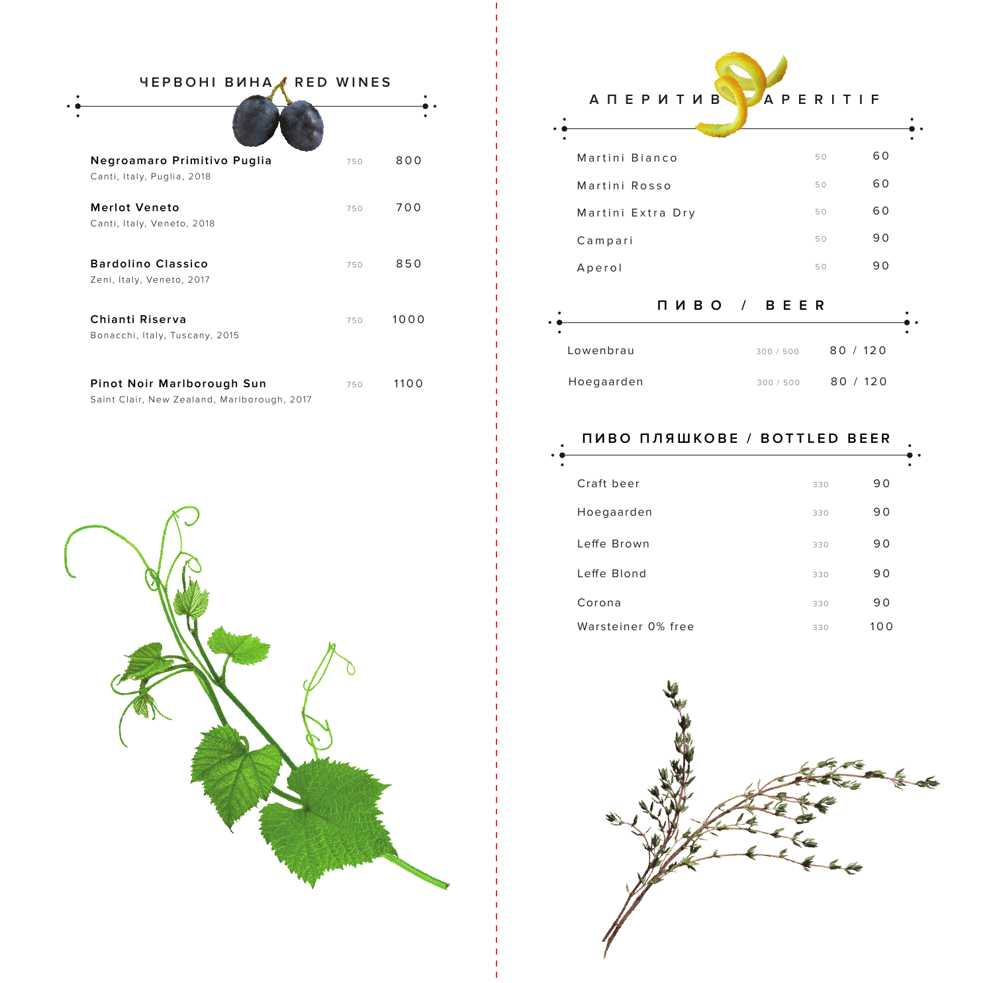| ЧЕРВОНІ ВИНА,                                                             | RED WINES |      |
|---------------------------------------------------------------------------|-----------|------|
|                                                                           |           |      |
| Negroamaro Primitivo Puglia<br>Canti, Italy, Puglia, 2018                 | 750       | 800  |
| <b>Merlot Veneto</b><br>Canti, Italy, Veneto, 2018                        | 750       | 700  |
| <b>Bardolino Classico</b><br>Zeni, Italy, Veneto, 2017                    | 750       | 850  |
| Chianti Riserva<br>Bonacchi, Italy, Tuscany, 2015                         | 750       | 1000 |
| Pinot Noir Marlborough Sun<br>Saint Clair, New Zealand, Marlborough, 2017 | 750       | 1100 |

 $\mathbf{I}$ 

 $\mathbf{I}$  $\mathbf{L}$ 

 $\mathbf{I}$ 

H.

 $\mathbf{I}$ 

| A N E P И Т И В   | APERITIF |    |
|-------------------|----------|----|
| Martini Bianco    | 50       | 60 |
| Martini Rosso     | 50       | 60 |
| Martini Extra Dry | 50       | 60 |
| Campari           | 50       | 90 |
| Aperol            | 50       | 90 |
|                   |          |    |

| $\bullet$      | ПИВО / BEER |          |  |
|----------------|-------------|----------|--|
| ٠<br>Lowenbrau | 300 / 500   | 80 / 120 |  |
| Hoegaarden     | 300/500     | 80 / 120 |  |

| ПИВО ПЛЯШКОВЕ / BOTTLED BEER |     |     |  |
|------------------------------|-----|-----|--|
|                              |     |     |  |
| Craft beer                   | 330 | 90  |  |
| Hoegaarden                   | 330 | 90  |  |
| Leffe Brown                  | 330 | 90  |  |
| Leffe Blond                  | 330 | 90  |  |
| Corona                       | 330 | 90  |  |
| Warsteiner 0% free           | 330 | 100 |  |